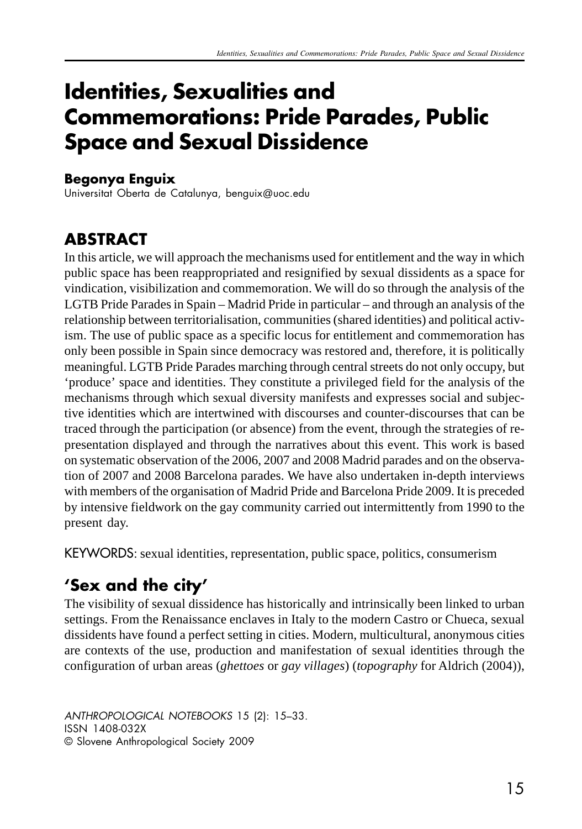# **Identities, Sexualities and Commemorations: Pride Parades, Public Space and Sexual Dissidence**

#### **Begonya Enguix**

Universitat Oberta de Catalunya, benguix@uoc.edu

### **ABSTRACT**

In this article, we will approach the mechanisms used for entitlement and the way in which public space has been reappropriated and resignified by sexual dissidents as a space for vindication, visibilization and commemoration. We will do so through the analysis of the LGTB Pride Parades in Spain – Madrid Pride in particular – and through an analysis of the relationship between territorialisation, communities (shared identities) and political activism. The use of public space as a specific locus for entitlement and commemoration has only been possible in Spain since democracy was restored and, therefore, it is politically meaningful. LGTB Pride Parades marching through central streets do not only occupy, but 'produce' space and identities. They constitute a privileged field for the analysis of the mechanisms through which sexual diversity manifests and expresses social and subjective identities which are intertwined with discourses and counter-discourses that can be traced through the participation (or absence) from the event, through the strategies of representation displayed and through the narratives about this event. This work is based on systematic observation of the 2006, 2007 and 2008 Madrid parades and on the observation of 2007 and 2008 Barcelona parades. We have also undertaken in-depth interviews with members of the organisation of Madrid Pride and Barcelona Pride 2009. It is preceded by intensive fieldwork on the gay community carried out intermittently from 1990 to the present day.

KEYWORDS: sexual identities, representation, public space, politics, consumerism

# 'Sex and the city'

The visibility of sexual dissidence has historically and intrinsically been linked to urban settings. From the Renaissance enclaves in Italy to the modern Castro or Chueca, sexual dissidents have found a perfect setting in cities. Modern, multicultural, anonymous cities are contexts of the use, production and manifestation of sexual identities through the configuration of urban areas (*ghettoes* or *gay villages*) (*topography* for Aldrich (2004)),

ANTHROPOLOGICAL NOTEBOOKS 15 (2): 15–33. ISSN 1408-032X © Slovene Anthropological Society 2009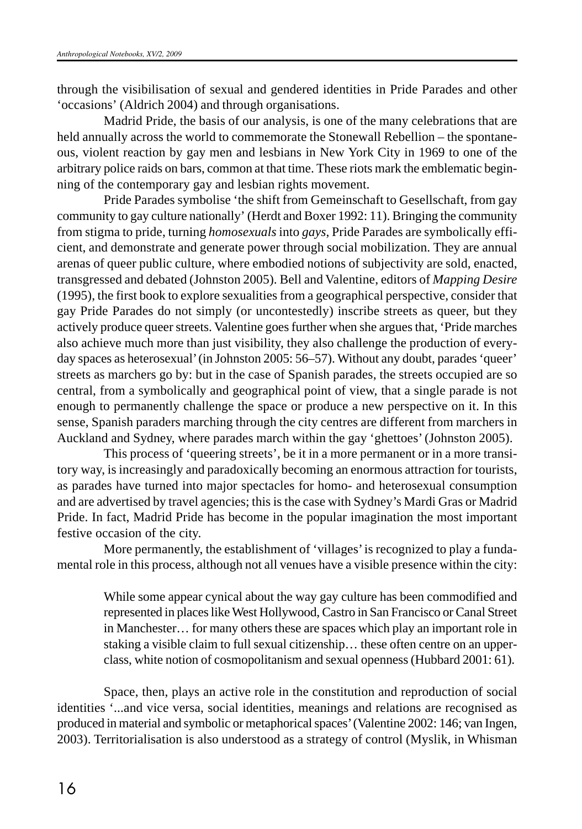through the visibilisation of sexual and gendered identities in Pride Parades and other 'occasions' (Aldrich 2004) and through organisations.

Madrid Pride, the basis of our analysis, is one of the many celebrations that are held annually across the world to commemorate the Stonewall Rebellion – the spontaneous, violent reaction by gay men and lesbians in New York City in 1969 to one of the arbitrary police raids on bars, common at that time. These riots mark the emblematic beginning of the contemporary gay and lesbian rights movement.

Pride Parades symbolise 'the shift from Gemeinschaft to Gesellschaft, from gay community to gay culture nationally' (Herdt and Boxer 1992: 11). Bringing the community from stigma to pride, turning *homosexuals* into *gays*, Pride Parades are symbolically efficient, and demonstrate and generate power through social mobilization. They are annual arenas of queer public culture, where embodied notions of subjectivity are sold, enacted, transgressed and debated (Johnston 2005). Bell and Valentine, editors of *Mapping Desire* (1995), the first book to explore sexualities from a geographical perspective, consider that gay Pride Parades do not simply (or uncontestedly) inscribe streets as queer, but they actively produce queer streets. Valentine goes further when she argues that, 'Pride marches also achieve much more than just visibility, they also challenge the production of everyday spaces as heterosexual' (in Johnston 2005: 56–57). Without any doubt, parades 'queer' streets as marchers go by: but in the case of Spanish parades, the streets occupied are so central, from a symbolically and geographical point of view, that a single parade is not enough to permanently challenge the space or produce a new perspective on it. In this sense, Spanish paraders marching through the city centres are different from marchers in Auckland and Sydney, where parades march within the gay 'ghettoes' (Johnston 2005).

This process of 'queering streets', be it in a more permanent or in a more transitory way, is increasingly and paradoxically becoming an enormous attraction for tourists, as parades have turned into major spectacles for homo- and heterosexual consumption and are advertised by travel agencies; this is the case with Sydney's Mardi Gras or Madrid Pride. In fact, Madrid Pride has become in the popular imagination the most important festive occasion of the city.

More permanently, the establishment of 'villages' is recognized to play a fundamental role in this process, although not all venues have a visible presence within the city:

> While some appear cynical about the way gay culture has been commodified and represented in places like West Hollywood, Castro in San Francisco or Canal Street in Manchester… for many others these are spaces which play an important role in staking a visible claim to full sexual citizenship… these often centre on an upperclass, white notion of cosmopolitanism and sexual openness (Hubbard 2001: 61).

Space, then, plays an active role in the constitution and reproduction of social identities '...and vice versa, social identities, meanings and relations are recognised as produced in material and symbolic or metaphorical spaces' (Valentine 2002: 146; van Ingen, 2003). Territorialisation is also understood as a strategy of control (Myslik, in Whisman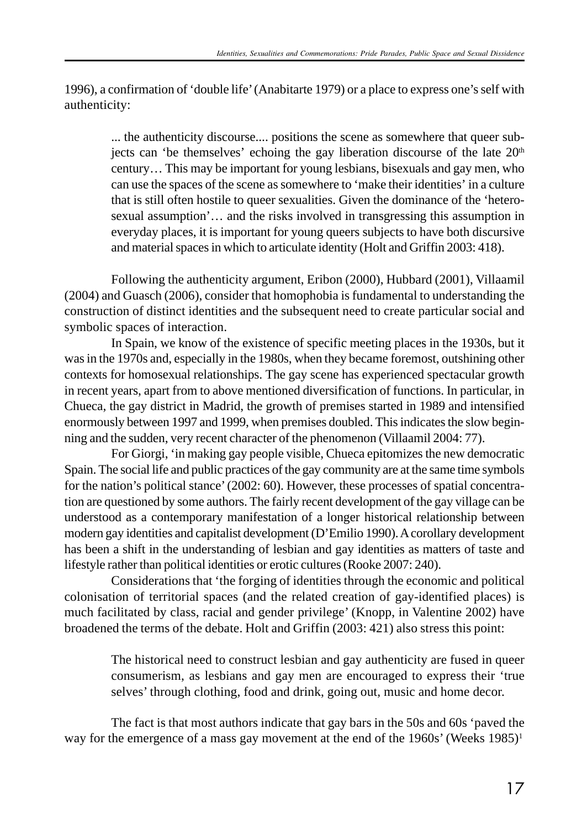1996), a confirmation of 'double life' (Anabitarte 1979) or a place to express one's self with authenticity:

... the authenticity discourse.... positions the scene as somewhere that queer subjects can 'be themselves' echoing the gay liberation discourse of the late 20<sup>th</sup> century… This may be important for young lesbians, bisexuals and gay men, who can use the spaces of the scene as somewhere to 'make their identities' in a culture that is still often hostile to queer sexualities. Given the dominance of the 'heterosexual assumption'… and the risks involved in transgressing this assumption in everyday places, it is important for young queers subjects to have both discursive and material spaces in which to articulate identity (Holt and Griffin 2003: 418).

Following the authenticity argument, Eribon (2000), Hubbard (2001), Villaamil (2004) and Guasch (2006), consider that homophobia is fundamental to understanding the construction of distinct identities and the subsequent need to create particular social and symbolic spaces of interaction.

In Spain, we know of the existence of specific meeting places in the 1930s, but it was in the 1970s and, especially in the 1980s, when they became foremost, outshining other contexts for homosexual relationships. The gay scene has experienced spectacular growth in recent years, apart from to above mentioned diversification of functions. In particular, in Chueca, the gay district in Madrid, the growth of premises started in 1989 and intensified enormously between 1997 and 1999, when premises doubled. This indicates the slow beginning and the sudden, very recent character of the phenomenon (Villaamil 2004: 77).

For Giorgi, 'in making gay people visible, Chueca epitomizes the new democratic Spain. The social life and public practices of the gay community are at the same time symbols for the nation's political stance' (2002: 60). However, these processes of spatial concentration are questioned by some authors. The fairly recent development of the gay village can be understood as a contemporary manifestation of a longer historical relationship between modern gay identities and capitalist development (D'Emilio 1990). A corollary development has been a shift in the understanding of lesbian and gay identities as matters of taste and lifestyle rather than political identities or erotic cultures (Rooke 2007: 240).

Considerations that 'the forging of identities through the economic and political colonisation of territorial spaces (and the related creation of gay-identified places) is much facilitated by class, racial and gender privilege' (Knopp, in Valentine 2002) have broadened the terms of the debate. Holt and Griffin (2003: 421) also stress this point:

> The historical need to construct lesbian and gay authenticity are fused in queer consumerism, as lesbians and gay men are encouraged to express their 'true selves' through clothing, food and drink, going out, music and home decor.

The fact is that most authors indicate that gay bars in the 50s and 60s 'paved the way for the emergence of a mass gay movement at the end of the 1960s' (Weeks 1985)<sup>1</sup>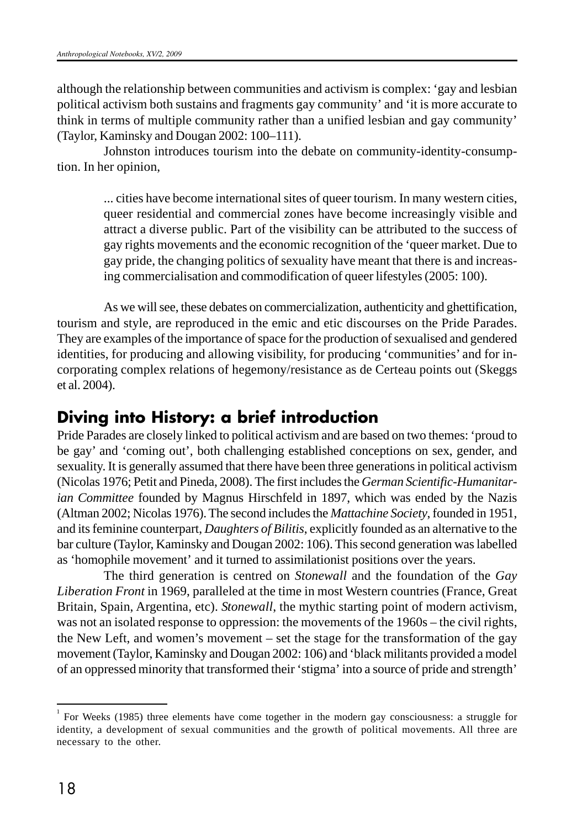although the relationship between communities and activism is complex: 'gay and lesbian political activism both sustains and fragments gay community' and 'it is more accurate to think in terms of multiple community rather than a unified lesbian and gay community' (Taylor, Kaminsky and Dougan 2002: 100–111).

Johnston introduces tourism into the debate on community-identity-consumption. In her opinion,

> ... cities have become international sites of queer tourism. In many western cities, queer residential and commercial zones have become increasingly visible and attract a diverse public. Part of the visibility can be attributed to the success of gay rights movements and the economic recognition of the 'queer market. Due to gay pride, the changing politics of sexuality have meant that there is and increasing commercialisation and commodification of queer lifestyles (2005: 100).

As we will see, these debates on commercialization, authenticity and ghettification, tourism and style, are reproduced in the emic and etic discourses on the Pride Parades. They are examples of the importance of space for the production of sexualised and gendered identities, for producing and allowing visibility, for producing 'communities' and for incorporating complex relations of hegemony/resistance as de Certeau points out (Skeggs et al. 2004).

#### **Diving into History: a brief introduction**

Pride Parades are closely linked to political activism and are based on two themes: 'proud to be gay' and 'coming out', both challenging established conceptions on sex, gender, and sexuality. It is generally assumed that there have been three generations in political activism (Nicolas 1976; Petit and Pineda, 2008). The first includes the *German Scientific-Humanitarian Committee* founded by Magnus Hirschfeld in 1897, which was ended by the Nazis (Altman 2002; Nicolas 1976). The second includes the *Mattachine Society*, founded in 1951, and its feminine counterpart, *Daughters of Bilitis*, explicitly founded as an alternative to the bar culture (Taylor, Kaminsky and Dougan 2002: 106). This second generation was labelled as 'homophile movement' and it turned to assimilationist positions over the years.

The third generation is centred on *Stonewall* and the foundation of the *Gay Liberation Front* in 1969, paralleled at the time in most Western countries (France, Great Britain, Spain, Argentina, etc). *Stonewall*, the mythic starting point of modern activism, was not an isolated response to oppression: the movements of the 1960s – the civil rights, the New Left, and women's movement – set the stage for the transformation of the gay movement (Taylor, Kaminsky and Dougan 2002: 106) and 'black militants provided a model of an oppressed minority that transformed their 'stigma' into a source of pride and strength'

<sup>1</sup> For Weeks (1985) three elements have come together in the modern gay consciousness: a struggle for identity, a development of sexual communities and the growth of political movements. All three are necessary to the other.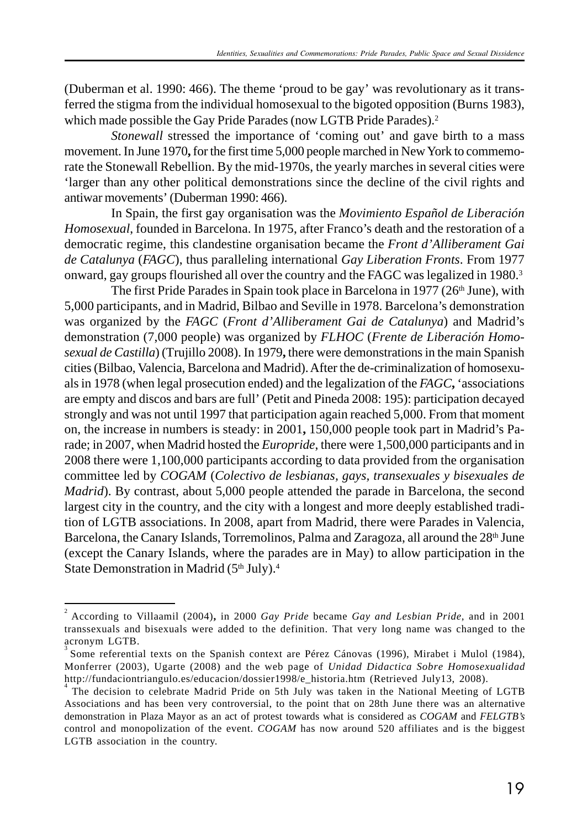(Duberman et al. 1990: 466). The theme 'proud to be gay' was revolutionary as it transferred the stigma from the individual homosexual to the bigoted opposition (Burns 1983), which made possible the Gay Pride Parades (now LGTB Pride Parades).<sup>2</sup>

*Stonewall* stressed the importance of 'coming out' and gave birth to a mass movement. In June 1970**,** for the first time 5,000 people marched in New York to commemorate the Stonewall Rebellion. By the mid-1970s, the yearly marches in several cities were 'larger than any other political demonstrations since the decline of the civil rights and antiwar movements' (Duberman 1990: 466).

In Spain, the first gay organisation was the *Movimiento Español de Liberación Homosexual*, founded in Barcelona. In 1975, after Franco's death and the restoration of a democratic regime, this clandestine organisation became the *Front d'Alliberament Gai de Catalunya* (*FAGC*), thus paralleling international *Gay Liberation Fronts*. From 1977 onward, gay groups flourished all over the country and the FAGC was legalized in 1980.<sup>3</sup>

The first Pride Parades in Spain took place in Barcelona in 1977 (26<sup>th</sup> June), with 5,000 participants, and in Madrid, Bilbao and Seville in 1978. Barcelona's demonstration was organized by the *FAGC* (*Front d'Alliberament Gai de Catalunya*) and Madrid's demonstration (7,000 people) was organized by *FLHOC* (*Frente de Liberación Homosexual de Castilla*) (Trujillo 2008). In 1979**,** there were demonstrations in the main Spanish cities (Bilbao, Valencia, Barcelona and Madrid). After the de-criminalization of homosexuals in 1978 (when legal prosecution ended) and the legalization of the *FAGC***,** 'associations are empty and discos and bars are full' (Petit and Pineda 2008: 195): participation decayed strongly and was not until 1997 that participation again reached 5,000. From that moment on, the increase in numbers is steady: in 2001**,** 150,000 people took part in Madrid's Parade; in 2007, when Madrid hosted the *Europride*, there were 1,500,000 participants and in 2008 there were 1,100,000 participants according to data provided from the organisation committee led by *COGAM* (*Colectivo de lesbianas, gays, transexuales y bisexuales de Madrid*). By contrast, about 5,000 people attended the parade in Barcelona, the second largest city in the country, and the city with a longest and more deeply established tradition of LGTB associations. In 2008, apart from Madrid, there were Parades in Valencia, Barcelona, the Canary Islands, Torremolinos, Palma and Zaragoza, all around the 28<sup>th</sup> June (except the Canary Islands, where the parades are in May) to allow participation in the State Demonstration in Madrid (5th July).<sup>4</sup>

<sup>2</sup> According to Villaamil (2004)**,** in 2000 *Gay Pride* became *Gay and Lesbian Pride*, and in 2001 transsexuals and bisexuals were added to the definition. That very long name was changed to the acronym LGTB.

<sup>3</sup>Some referential texts on the Spanish context are Pérez Cánovas (1996), Mirabet i Mulol (1984), Monferrer (2003), Ugarte (2008) and the web page of *Unidad Didactica Sobre Homosexualidad* http://fundaciontriangulo.es/educacion/dossier1998/e\_historia.htm (Retrieved July13, 2008).

The decision to celebrate Madrid Pride on 5th July was taken in the National Meeting of LGTB Associations and has been very controversial, to the point that on 28th June there was an alternative demonstration in Plaza Mayor as an act of protest towards what is considered as *COGAM* and *FELGTB's* control and monopolization of the event. *COGAM* has now around 520 affiliates and is the biggest LGTB association in the country.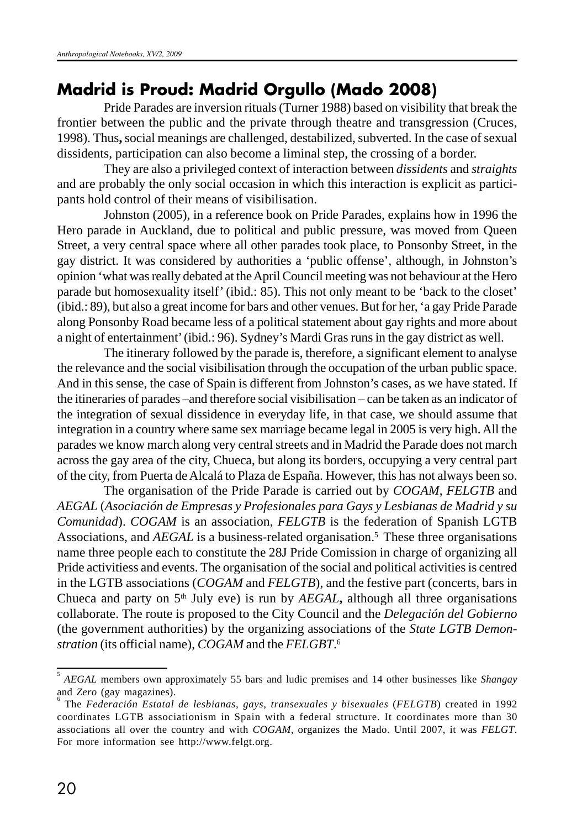### **Madrid is Proud: Madrid Orgullo (Mado 2008)**

Pride Parades are inversion rituals (Turner 1988) based on visibility that break the frontier between the public and the private through theatre and transgression (Cruces, 1998). Thus**,** social meanings are challenged, destabilized, subverted. In the case of sexual dissidents, participation can also become a liminal step, the crossing of a border.

They are also a privileged context of interaction between *dissidents* and *straights* and are probably the only social occasion in which this interaction is explicit as participants hold control of their means of visibilisation.

Johnston (2005), in a reference book on Pride Parades, explains how in 1996 the Hero parade in Auckland, due to political and public pressure, was moved from Queen Street, a very central space where all other parades took place, to Ponsonby Street, in the gay district. It was considered by authorities a 'public offense', although, in Johnston's opinion 'what was really debated at the April Council meeting was not behaviour at the Hero parade but homosexuality itself' (ibid.: 85). This not only meant to be 'back to the closet' (ibid.: 89), but also a great income for bars and other venues. But for her, 'a gay Pride Parade along Ponsonby Road became less of a political statement about gay rights and more about a night of entertainment' (ibid.: 96). Sydney's Mardi Gras runs in the gay district as well.

The itinerary followed by the parade is, therefore, a significant element to analyse the relevance and the social visibilisation through the occupation of the urban public space. And in this sense, the case of Spain is different from Johnston's cases, as we have stated. If the itineraries of parades –and therefore social visibilisation – can be taken as an indicator of the integration of sexual dissidence in everyday life, in that case, we should assume that integration in a country where same sex marriage became legal in 2005 is very high. All the parades we know march along very central streets and in Madrid the Parade does not march across the gay area of the city, Chueca, but along its borders, occupying a very central part of the city, from Puerta de Alcalá to Plaza de España. However, this has not always been so.

The organisation of the Pride Parade is carried out by *COGAM*, *FELGTB* and *AEGAL* (*Asociación de Empresas y Profesionales para Gays y Lesbianas de Madrid y su Comunidad*). *COGAM* is an association, *FELGTB* is the federation of Spanish LGTB Associations, and *AEGAL* is a business-related organisation.<sup>5</sup> These three organisations name three people each to constitute the 28J Pride Comission in charge of organizing all Pride activitiess and events. The organisation of the social and political activities is centred in the LGTB associations (*COGAM* and *FELGTB*), and the festive part (concerts, bars in Chueca and party on  $5<sup>th</sup>$  July eve) is run by *AEGAL*, although all three organisations collaborate. The route is proposed to the City Council and the *Delegación del Gobierno* (the government authorities) by the organizing associations of the *State LGTB Demonstration* (its official name), *COGAM* and the *FELGBT*. 6

<sup>5</sup> *AEGAL* members own approximately 55 bars and ludic premises and 14 other businesses like *Shangay* and *Zero* (gay magazines).

The *Federación Estatal de lesbianas, gays, transexuales y bisexuales* (*FELGTB*) created in 1992 coordinates LGTB associationism in Spain with a federal structure. It coordinates more than 30 associations all over the country and with *COGAM*, organizes the Mado. Until 2007, it was *FELGT*. For more information see http://www.felgt.org.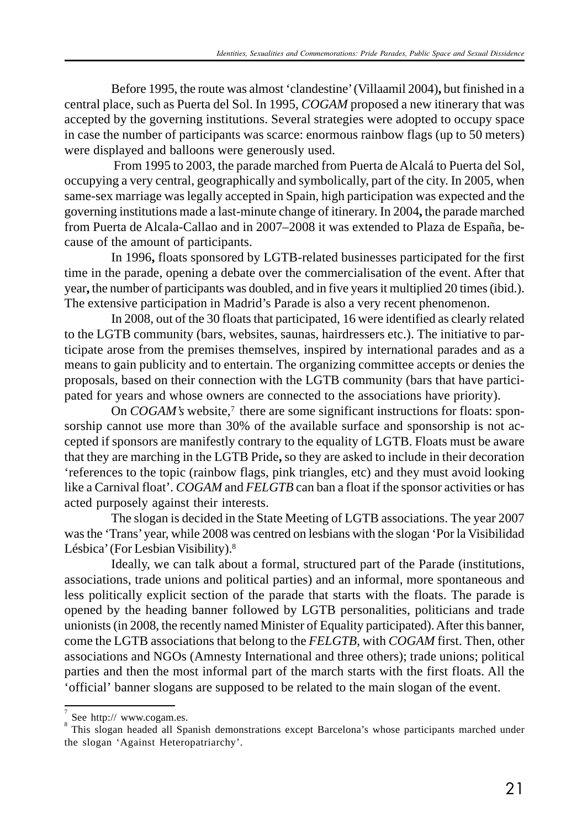Before 1995, the route was almost 'clandestine' (Villaamil 2004)**,** but finished in a central place, such as Puerta del Sol. In 1995, *COGAM* proposed a new itinerary that was accepted by the governing institutions. Several strategies were adopted to occupy space in case the number of participants was scarce: enormous rainbow flags (up to 50 meters) were displayed and balloons were generously used.

 From 1995 to 2003, the parade marched from Puerta de Alcalá to Puerta del Sol, occupying a very central, geographically and symbolically, part of the city. In 2005, when same-sex marriage was legally accepted in Spain, high participation was expected and the governing institutions made a last-minute change of itinerary. In 2004**,** the parade marched from Puerta de Alcala-Callao and in 2007–2008 it was extended to Plaza de España, because of the amount of participants.

In 1996**,** floats sponsored by LGTB-related businesses participated for the first time in the parade, opening a debate over the commercialisation of the event. After that year**,** the number of participants was doubled, and in five years it multiplied 20 times (ibid.). The extensive participation in Madrid's Parade is also a very recent phenomenon.

In 2008, out of the 30 floats that participated, 16 were identified as clearly related to the LGTB community (bars, websites, saunas, hairdressers etc.). The initiative to participate arose from the premises themselves, inspired by international parades and as a means to gain publicity and to entertain. The organizing committee accepts or denies the proposals, based on their connection with the LGTB community (bars that have participated for years and whose owners are connected to the associations have priority).

On *COGAM's* website,<sup>7</sup> there are some significant instructions for floats: sponsorship cannot use more than 30% of the available surface and sponsorship is not accepted if sponsors are manifestly contrary to the equality of LGTB. Floats must be aware that they are marching in the LGTB Pride**,** so they are asked to include in their decoration 'references to the topic (rainbow flags, pink triangles, etc) and they must avoid looking like a Carnival float'. *COGAM* and *FELGTB* can ban a float if the sponsor activities or has acted purposely against their interests.

The slogan is decided in the State Meeting of LGTB associations. The year 2007 was the 'Trans' year, while 2008 was centred on lesbians with the slogan 'Por la Visibilidad Lésbica' (For Lesbian Visibility).<sup>8</sup>

Ideally, we can talk about a formal, structured part of the Parade (institutions, associations, trade unions and political parties) and an informal, more spontaneous and less politically explicit section of the parade that starts with the floats. The parade is opened by the heading banner followed by LGTB personalities, politicians and trade unionists (in 2008, the recently named Minister of Equality participated). After this banner, come the LGTB associations that belong to the *FELGTB*, with *COGAM* first. Then, other associations and NGOs (Amnesty International and three others); trade unions; political parties and then the most informal part of the march starts with the first floats. All the 'official' banner slogans are supposed to be related to the main slogan of the event.

<sup>7</sup> See http:// www.cogam.es.

<sup>8</sup> This slogan headed all Spanish demonstrations except Barcelona's whose participants marched under the slogan 'Against Heteropatriarchy'.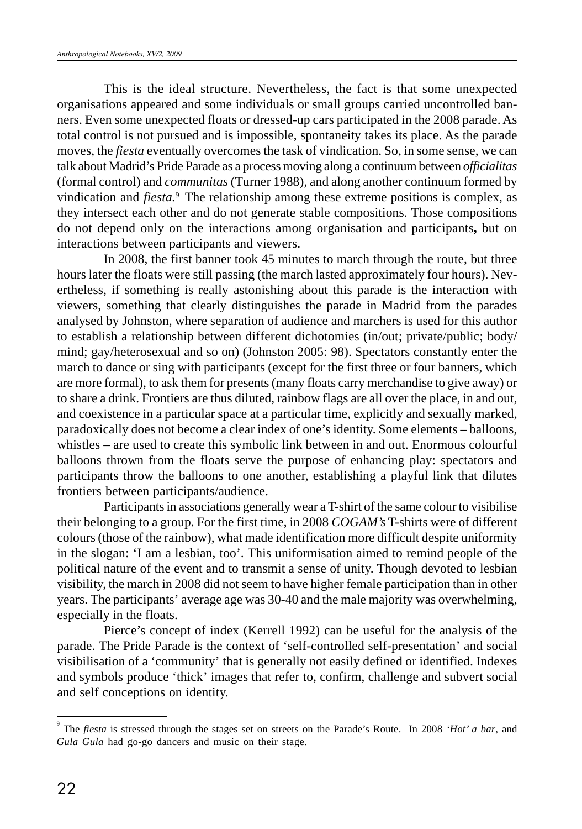This is the ideal structure. Nevertheless, the fact is that some unexpected organisations appeared and some individuals or small groups carried uncontrolled banners. Even some unexpected floats or dressed-up cars participated in the 2008 parade. As total control is not pursued and is impossible, spontaneity takes its place. As the parade moves, the *fiesta* eventually overcomes the task of vindication. So, in some sense, we can talk about Madrid's Pride Parade as a process moving along a continuum between *officialitas* (formal control) and *communitas* (Turner 1988), and along another continuum formed by vindication and *fiesta.*<sup>9</sup> The relationship among these extreme positions is complex, as they intersect each other and do not generate stable compositions. Those compositions do not depend only on the interactions among organisation and participants**,** but on interactions between participants and viewers.

In 2008, the first banner took 45 minutes to march through the route, but three hours later the floats were still passing (the march lasted approximately four hours). Nevertheless, if something is really astonishing about this parade is the interaction with viewers, something that clearly distinguishes the parade in Madrid from the parades analysed by Johnston, where separation of audience and marchers is used for this author to establish a relationship between different dichotomies (in/out; private/public; body/ mind; gay/heterosexual and so on) (Johnston 2005: 98). Spectators constantly enter the march to dance or sing with participants (except for the first three or four banners, which are more formal), to ask them for presents (many floats carry merchandise to give away) or to share a drink. Frontiers are thus diluted, rainbow flags are all over the place, in and out, and coexistence in a particular space at a particular time, explicitly and sexually marked, paradoxically does not become a clear index of one's identity. Some elements – balloons, whistles – are used to create this symbolic link between in and out. Enormous colourful balloons thrown from the floats serve the purpose of enhancing play: spectators and participants throw the balloons to one another, establishing a playful link that dilutes frontiers between participants/audience.

Participants in associations generally wear a T-shirt of the same colour to visibilise their belonging to a group. For the first time, in 2008 *COGAM's* T-shirts were of different colours (those of the rainbow), what made identification more difficult despite uniformity in the slogan: 'I am a lesbian, too'. This uniformisation aimed to remind people of the political nature of the event and to transmit a sense of unity. Though devoted to lesbian visibility, the march in 2008 did not seem to have higher female participation than in other years. The participants' average age was 30-40 and the male majority was overwhelming, especially in the floats.

Pierce's concept of index (Kerrell 1992) can be useful for the analysis of the parade. The Pride Parade is the context of 'self-controlled self-presentation' and social visibilisation of a 'community' that is generally not easily defined or identified. Indexes and symbols produce 'thick' images that refer to, confirm, challenge and subvert social and self conceptions on identity.

<sup>9</sup> The *fiesta* is stressed through the stages set on streets on the Parade's Route. In 2008 *'Hot' a bar*, and *Gula Gula* had go-go dancers and music on their stage.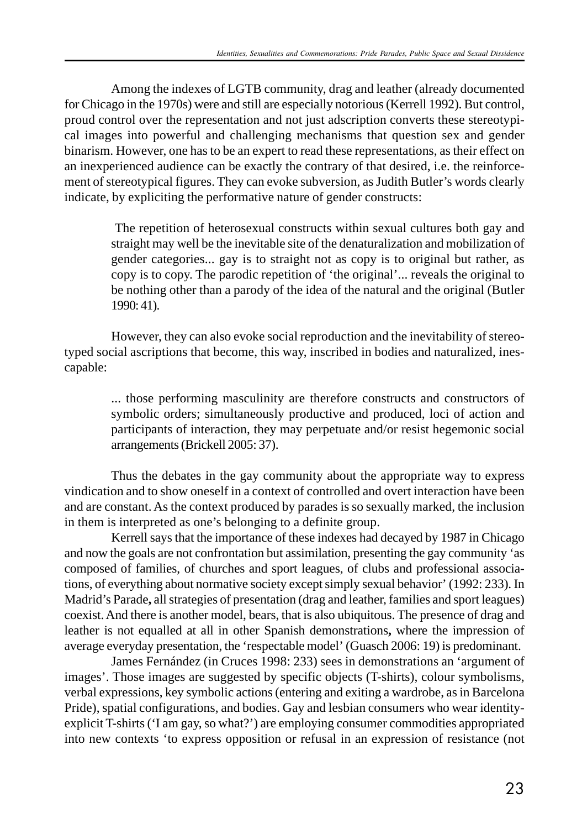Among the indexes of LGTB community, drag and leather (already documented for Chicago in the 1970s) were and still are especially notorious (Kerrell 1992). But control, proud control over the representation and not just adscription converts these stereotypical images into powerful and challenging mechanisms that question sex and gender binarism. However, one has to be an expert to read these representations, as their effect on an inexperienced audience can be exactly the contrary of that desired, i.e. the reinforcement of stereotypical figures. They can evoke subversion, as Judith Butler's words clearly indicate, by expliciting the performative nature of gender constructs:

> The repetition of heterosexual constructs within sexual cultures both gay and straight may well be the inevitable site of the denaturalization and mobilization of gender categories... gay is to straight not as copy is to original but rather, as copy is to copy. The parodic repetition of 'the original'... reveals the original to be nothing other than a parody of the idea of the natural and the original (Butler 1990: 41).

However, they can also evoke social reproduction and the inevitability of stereotyped social ascriptions that become, this way, inscribed in bodies and naturalized, inescapable:

> ... those performing masculinity are therefore constructs and constructors of symbolic orders; simultaneously productive and produced, loci of action and participants of interaction, they may perpetuate and/or resist hegemonic social arrangements (Brickell 2005: 37).

Thus the debates in the gay community about the appropriate way to express vindication and to show oneself in a context of controlled and overt interaction have been and are constant. As the context produced by parades is so sexually marked, the inclusion in them is interpreted as one's belonging to a definite group.

Kerrell says that the importance of these indexes had decayed by 1987 in Chicago and now the goals are not confrontation but assimilation, presenting the gay community 'as composed of families, of churches and sport leagues, of clubs and professional associations, of everything about normative society except simply sexual behavior' (1992: 233). In Madrid's Parade**,** all strategies of presentation (drag and leather, families and sport leagues) coexist. And there is another model, bears, that is also ubiquitous. The presence of drag and leather is not equalled at all in other Spanish demonstrations**,** where the impression of average everyday presentation, the 'respectable model' (Guasch 2006: 19) is predominant.

James Fernández (in Cruces 1998: 233) sees in demonstrations an 'argument of images'. Those images are suggested by specific objects (T-shirts), colour symbolisms, verbal expressions, key symbolic actions (entering and exiting a wardrobe, as in Barcelona Pride), spatial configurations, and bodies. Gay and lesbian consumers who wear identityexplicit T-shirts ('I am gay, so what?') are employing consumer commodities appropriated into new contexts 'to express opposition or refusal in an expression of resistance (not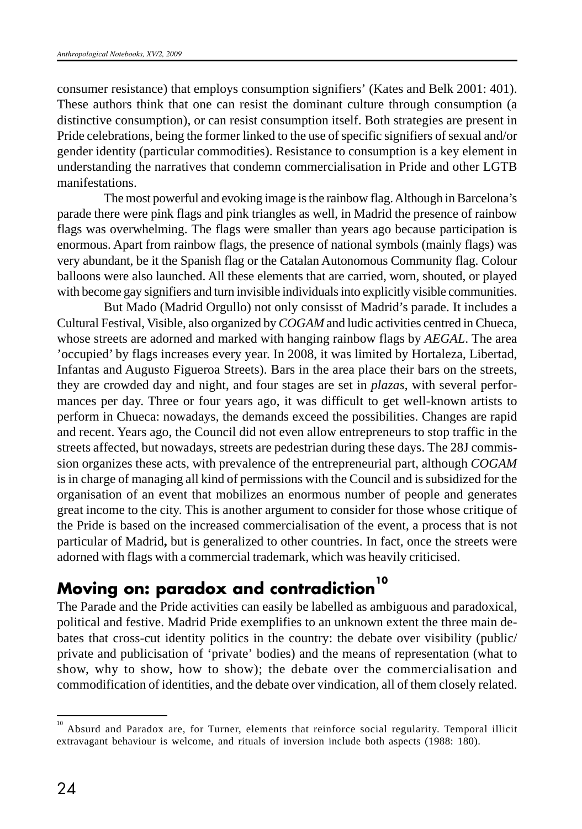consumer resistance) that employs consumption signifiers' (Kates and Belk 2001: 401). These authors think that one can resist the dominant culture through consumption (a distinctive consumption), or can resist consumption itself. Both strategies are present in Pride celebrations, being the former linked to the use of specific signifiers of sexual and/or gender identity (particular commodities). Resistance to consumption is a key element in understanding the narratives that condemn commercialisation in Pride and other LGTB manifestations.

The most powerful and evoking image is the rainbow flag. Although in Barcelona's parade there were pink flags and pink triangles as well, in Madrid the presence of rainbow flags was overwhelming. The flags were smaller than years ago because participation is enormous. Apart from rainbow flags, the presence of national symbols (mainly flags) was very abundant, be it the Spanish flag or the Catalan Autonomous Community flag. Colour balloons were also launched. All these elements that are carried, worn, shouted, or played with become gay signifiers and turn invisible individuals into explicitly visible communities.

But Mado (Madrid Orgullo) not only consisst of Madrid's parade. It includes a Cultural Festival, Visible, also organized by *COGAM* and ludic activities centred in Chueca, whose streets are adorned and marked with hanging rainbow flags by *AEGAL*. The area 'occupied' by flags increases every year. In 2008, it was limited by Hortaleza, Libertad, Infantas and Augusto Figueroa Streets). Bars in the area place their bars on the streets, they are crowded day and night, and four stages are set in *plazas*, with several performances per day. Three or four years ago, it was difficult to get well-known artists to perform in Chueca: nowadays, the demands exceed the possibilities. Changes are rapid and recent. Years ago, the Council did not even allow entrepreneurs to stop traffic in the streets affected, but nowadays, streets are pedestrian during these days. The 28J commission organizes these acts, with prevalence of the entrepreneurial part, although *COGAM* is in charge of managing all kind of permissions with the Council and is subsidized for the organisation of an event that mobilizes an enormous number of people and generates great income to the city. This is another argument to consider for those whose critique of the Pride is based on the increased commercialisation of the event, a process that is not particular of Madrid**,** but is generalized to other countries. In fact, once the streets were adorned with flags with a commercial trademark, which was heavily criticised.

# **Moving on: paradox and contradiction<sup>10</sup>**

The Parade and the Pride activities can easily be labelled as ambiguous and paradoxical, political and festive. Madrid Pride exemplifies to an unknown extent the three main debates that cross-cut identity politics in the country: the debate over visibility (public/ private and publicisation of 'private' bodies) and the means of representation (what to show, why to show, how to show); the debate over the commercialisation and commodification of identities, and the debate over vindication, all of them closely related.

<sup>10</sup> Absurd and Paradox are, for Turner, elements that reinforce social regularity. Temporal illicit extravagant behaviour is welcome, and rituals of inversion include both aspects (1988: 180).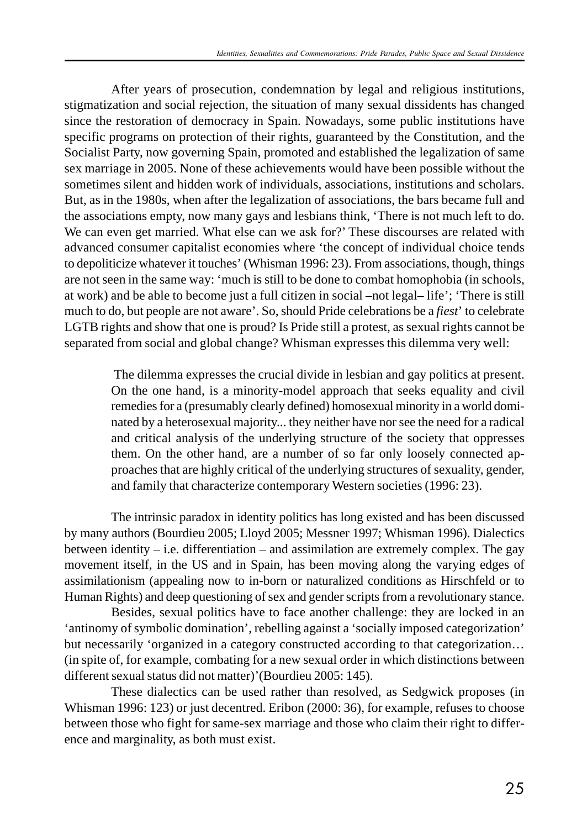After years of prosecution, condemnation by legal and religious institutions, stigmatization and social rejection, the situation of many sexual dissidents has changed since the restoration of democracy in Spain. Nowadays, some public institutions have specific programs on protection of their rights, guaranteed by the Constitution, and the Socialist Party, now governing Spain, promoted and established the legalization of same sex marriage in 2005. None of these achievements would have been possible without the sometimes silent and hidden work of individuals, associations, institutions and scholars. But, as in the 1980s, when after the legalization of associations, the bars became full and the associations empty, now many gays and lesbians think, 'There is not much left to do. We can even get married. What else can we ask for?' These discourses are related with advanced consumer capitalist economies where 'the concept of individual choice tends to depoliticize whatever it touches' (Whisman 1996: 23). From associations, though, things are not seen in the same way: 'much is still to be done to combat homophobia (in schools, at work) and be able to become just a full citizen in social –not legal– life'; 'There is still much to do, but people are not aware'. So, should Pride celebrations be a *fiest*' to celebrate LGTB rights and show that one is proud? Is Pride still a protest, as sexual rights cannot be separated from social and global change? Whisman expresses this dilemma very well:

> The dilemma expresses the crucial divide in lesbian and gay politics at present. On the one hand, is a minority-model approach that seeks equality and civil remedies for a (presumably clearly defined) homosexual minority in a world dominated by a heterosexual majority... they neither have nor see the need for a radical and critical analysis of the underlying structure of the society that oppresses them. On the other hand, are a number of so far only loosely connected approaches that are highly critical of the underlying structures of sexuality, gender, and family that characterize contemporary Western societies (1996: 23).

The intrinsic paradox in identity politics has long existed and has been discussed by many authors (Bourdieu 2005; Lloyd 2005; Messner 1997; Whisman 1996). Dialectics between identity – i.e. differentiation – and assimilation are extremely complex. The gay movement itself, in the US and in Spain, has been moving along the varying edges of assimilationism (appealing now to in-born or naturalized conditions as Hirschfeld or to Human Rights) and deep questioning of sex and gender scripts from a revolutionary stance.

Besides, sexual politics have to face another challenge: they are locked in an 'antinomy of symbolic domination', rebelling against a 'socially imposed categorization' but necessarily 'organized in a category constructed according to that categorization… (in spite of, for example, combating for a new sexual order in which distinctions between different sexual status did not matter)'(Bourdieu 2005: 145).

These dialectics can be used rather than resolved, as Sedgwick proposes (in Whisman 1996: 123) or just decentred. Eribon (2000: 36), for example, refuses to choose between those who fight for same-sex marriage and those who claim their right to difference and marginality, as both must exist.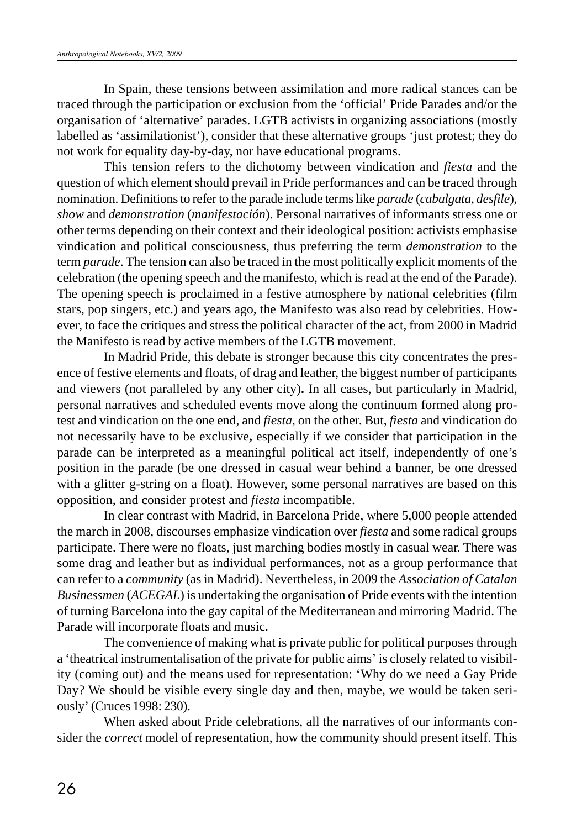In Spain, these tensions between assimilation and more radical stances can be traced through the participation or exclusion from the 'official' Pride Parades and/or the organisation of 'alternative' parades. LGTB activists in organizing associations (mostly labelled as 'assimilationist'), consider that these alternative groups 'just protest; they do not work for equality day-by-day, nor have educational programs.

This tension refers to the dichotomy between vindication and *fiesta* and the question of which element should prevail in Pride performances and can be traced through nomination. Definitions to refer to the parade include terms like *parade* (*cabalgata, desfile*), *show* and *demonstration* (*manifestación*). Personal narratives of informants stress one or other terms depending on their context and their ideological position: activists emphasise vindication and political consciousness, thus preferring the term *demonstration* to the term *parade*. The tension can also be traced in the most politically explicit moments of the celebration (the opening speech and the manifesto, which is read at the end of the Parade). The opening speech is proclaimed in a festive atmosphere by national celebrities (film stars, pop singers, etc.) and years ago, the Manifesto was also read by celebrities. However, to face the critiques and stress the political character of the act, from 2000 in Madrid the Manifesto is read by active members of the LGTB movement.

In Madrid Pride, this debate is stronger because this city concentrates the presence of festive elements and floats, of drag and leather, the biggest number of participants and viewers (not paralleled by any other city)**.** In all cases, but particularly in Madrid, personal narratives and scheduled events move along the continuum formed along protest and vindication on the one end, and *fiesta*, on the other. But, *fiesta* and vindication do not necessarily have to be exclusive**,** especially if we consider that participation in the parade can be interpreted as a meaningful political act itself, independently of one's position in the parade (be one dressed in casual wear behind a banner, be one dressed with a glitter g-string on a float). However, some personal narratives are based on this opposition, and consider protest and *fiesta* incompatible.

In clear contrast with Madrid, in Barcelona Pride, where 5,000 people attended the march in 2008, discourses emphasize vindication over *fiesta* and some radical groups participate. There were no floats, just marching bodies mostly in casual wear. There was some drag and leather but as individual performances, not as a group performance that can refer to a *community* (as in Madrid). Nevertheless, in 2009 the *Association of Catalan Businessmen* (*ACEGAL*) is undertaking the organisation of Pride events with the intention of turning Barcelona into the gay capital of the Mediterranean and mirroring Madrid. The Parade will incorporate floats and music.

The convenience of making what is private public for political purposes through a 'theatrical instrumentalisation of the private for public aims' is closely related to visibility (coming out) and the means used for representation: 'Why do we need a Gay Pride Day? We should be visible every single day and then, maybe, we would be taken seriously' (Cruces 1998: 230).

When asked about Pride celebrations, all the narratives of our informants consider the *correct* model of representation, how the community should present itself. This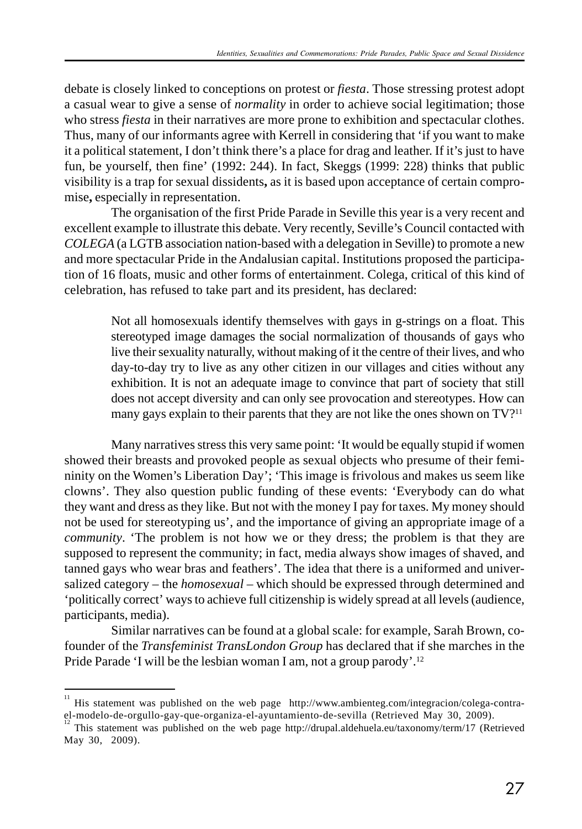debate is closely linked to conceptions on protest or *fiesta*. Those stressing protest adopt a casual wear to give a sense of *normality* in order to achieve social legitimation; those who stress *fiesta* in their narratives are more prone to exhibition and spectacular clothes. Thus, many of our informants agree with Kerrell in considering that 'if you want to make it a political statement, I don't think there's a place for drag and leather. If it's just to have fun, be yourself, then fine' (1992: 244). In fact, Skeggs (1999: 228) thinks that public visibility is a trap for sexual dissidents**,** as it is based upon acceptance of certain compromise**,** especially in representation.

The organisation of the first Pride Parade in Seville this year is a very recent and excellent example to illustrate this debate. Very recently, Seville's Council contacted with *COLEGA* (a LGTB association nation-based with a delegation in Seville) to promote a new and more spectacular Pride in the Andalusian capital. Institutions proposed the participation of 16 floats, music and other forms of entertainment. Colega, critical of this kind of celebration, has refused to take part and its president, has declared:

> Not all homosexuals identify themselves with gays in g-strings on a float. This stereotyped image damages the social normalization of thousands of gays who live their sexuality naturally, without making of it the centre of their lives, and who day-to-day try to live as any other citizen in our villages and cities without any exhibition. It is not an adequate image to convince that part of society that still does not accept diversity and can only see provocation and stereotypes. How can many gays explain to their parents that they are not like the ones shown on TV?<sup>11</sup>

Many narratives stress this very same point: 'It would be equally stupid if women showed their breasts and provoked people as sexual objects who presume of their femininity on the Women's Liberation Day'; 'This image is frivolous and makes us seem like clowns'. They also question public funding of these events: 'Everybody can do what they want and dress as they like. But not with the money I pay for taxes. My money should not be used for stereotyping us', and the importance of giving an appropriate image of a *community*. 'The problem is not how we or they dress; the problem is that they are supposed to represent the community; in fact, media always show images of shaved, and tanned gays who wear bras and feathers'. The idea that there is a uniformed and universalized category – the *homosexual* – which should be expressed through determined and 'politically correct' ways to achieve full citizenship is widely spread at all levels (audience, participants, media).

Similar narratives can be found at a global scale: for example, Sarah Brown, cofounder of the *Transfeminist TransLondon Group* has declared that if she marches in the Pride Parade 'I will be the lesbian woman I am, not a group parody'.<sup>12</sup>

<sup>&</sup>lt;sup>11</sup> His statement was published on the web page http://www.ambienteg.com/integracion/colega-contrael-modelo-de-orgullo-gay-que-organiza-el-ayuntamiento-de-sevilla (Retrieved May 30, 2009).

<sup>12</sup> This statement was published on the web page http://drupal.aldehuela.eu/taxonomy/term/17 (Retrieved May 30, 2009).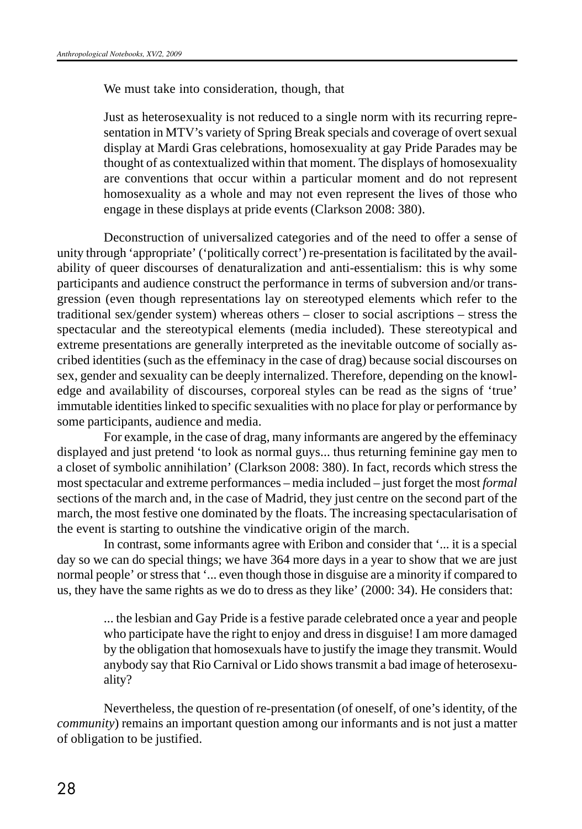We must take into consideration, though, that

Just as heterosexuality is not reduced to a single norm with its recurring representation in MTV's variety of Spring Break specials and coverage of overt sexual display at Mardi Gras celebrations, homosexuality at gay Pride Parades may be thought of as contextualized within that moment. The displays of homosexuality are conventions that occur within a particular moment and do not represent homosexuality as a whole and may not even represent the lives of those who engage in these displays at pride events (Clarkson 2008: 380).

Deconstruction of universalized categories and of the need to offer a sense of unity through 'appropriate' ('politically correct') re-presentation is facilitated by the availability of queer discourses of denaturalization and anti-essentialism: this is why some participants and audience construct the performance in terms of subversion and/or transgression (even though representations lay on stereotyped elements which refer to the traditional sex/gender system) whereas others – closer to social ascriptions – stress the spectacular and the stereotypical elements (media included). These stereotypical and extreme presentations are generally interpreted as the inevitable outcome of socially ascribed identities (such as the effeminacy in the case of drag) because social discourses on sex, gender and sexuality can be deeply internalized. Therefore, depending on the knowledge and availability of discourses, corporeal styles can be read as the signs of 'true' immutable identities linked to specific sexualities with no place for play or performance by some participants, audience and media.

For example, in the case of drag, many informants are angered by the effeminacy displayed and just pretend 'to look as normal guys... thus returning feminine gay men to a closet of symbolic annihilation' (Clarkson 2008: 380). In fact, records which stress the most spectacular and extreme performances – media included – just forget the most *formal* sections of the march and, in the case of Madrid, they just centre on the second part of the march, the most festive one dominated by the floats. The increasing spectacularisation of the event is starting to outshine the vindicative origin of the march.

In contrast, some informants agree with Eribon and consider that '... it is a special day so we can do special things; we have 364 more days in a year to show that we are just normal people' or stress that '... even though those in disguise are a minority if compared to us, they have the same rights as we do to dress as they like' (2000: 34). He considers that:

> ... the lesbian and Gay Pride is a festive parade celebrated once a year and people who participate have the right to enjoy and dress in disguise! I am more damaged by the obligation that homosexuals have to justify the image they transmit. Would anybody say that Rio Carnival or Lido shows transmit a bad image of heterosexuality?

Nevertheless, the question of re-presentation (of oneself, of one's identity, of the *community*) remains an important question among our informants and is not just a matter of obligation to be justified.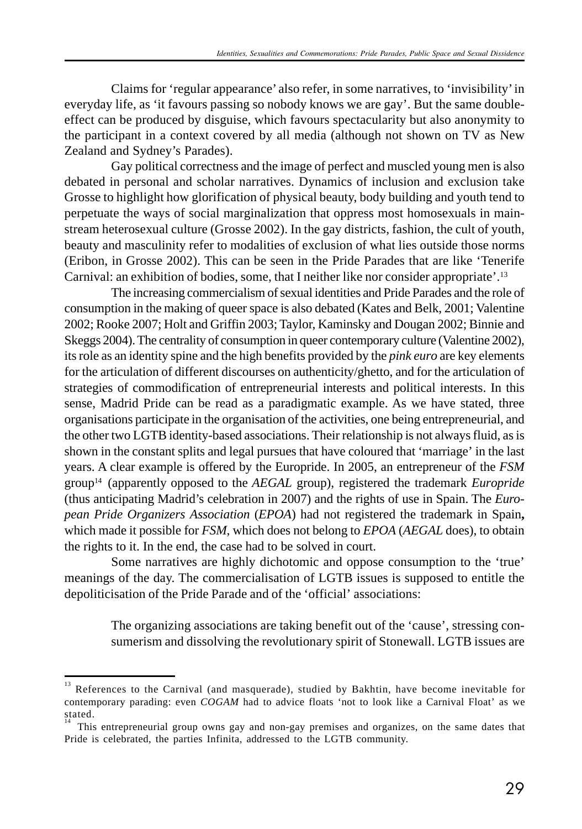Claims for 'regular appearance' also refer, in some narratives, to 'invisibility' in everyday life, as 'it favours passing so nobody knows we are gay'. But the same doubleeffect can be produced by disguise, which favours spectacularity but also anonymity to the participant in a context covered by all media (although not shown on TV as New Zealand and Sydney's Parades).

Gay political correctness and the image of perfect and muscled young men is also debated in personal and scholar narratives. Dynamics of inclusion and exclusion take Grosse to highlight how glorification of physical beauty, body building and youth tend to perpetuate the ways of social marginalization that oppress most homosexuals in mainstream heterosexual culture (Grosse 2002). In the gay districts, fashion, the cult of youth, beauty and masculinity refer to modalities of exclusion of what lies outside those norms (Eribon, in Grosse 2002). This can be seen in the Pride Parades that are like 'Tenerife Carnival: an exhibition of bodies, some, that I neither like nor consider appropriate'.<sup>13</sup>

The increasing commercialism of sexual identities and Pride Parades and the role of consumption in the making of queer space is also debated (Kates and Belk, 2001; Valentine 2002; Rooke 2007; Holt and Griffin 2003; Taylor, Kaminsky and Dougan 2002; Binnie and Skeggs 2004). The centrality of consumption in queer contemporary culture (Valentine 2002), its role as an identity spine and the high benefits provided by the *pink euro* are key elements for the articulation of different discourses on authenticity/ghetto, and for the articulation of strategies of commodification of entrepreneurial interests and political interests. In this sense, Madrid Pride can be read as a paradigmatic example. As we have stated, three organisations participate in the organisation of the activities, one being entrepreneurial, and the other two LGTB identity-based associations. Their relationship is not always fluid, as is shown in the constant splits and legal pursues that have coloured that 'marriage' in the last years. A clear example is offered by the Europride. In 2005, an entrepreneur of the *FSM* group14 (apparently opposed to the *AEGAL* group), registered the trademark *Europride* (thus anticipating Madrid's celebration in 2007) and the rights of use in Spain. The *European Pride Organizers Association* (*EPOA*) had not registered the trademark in Spain**,** which made it possible for *FSM*, which does not belong to *EPOA* (*AEGAL* does), to obtain the rights to it. In the end, the case had to be solved in court.

Some narratives are highly dichotomic and oppose consumption to the 'true' meanings of the day. The commercialisation of LGTB issues is supposed to entitle the depoliticisation of the Pride Parade and of the 'official' associations:

The organizing associations are taking benefit out of the 'cause', stressing consumerism and dissolving the revolutionary spirit of Stonewall. LGTB issues are

References to the Carnival (and masquerade), studied by Bakhtin, have become inevitable for contemporary parading: even *COGAM* had to advice floats 'not to look like a Carnival Float' as we stated.

<sup>14</sup>This entrepreneurial group owns gay and non-gay premises and organizes, on the same dates that Pride is celebrated, the parties Infinita, addressed to the LGTB community.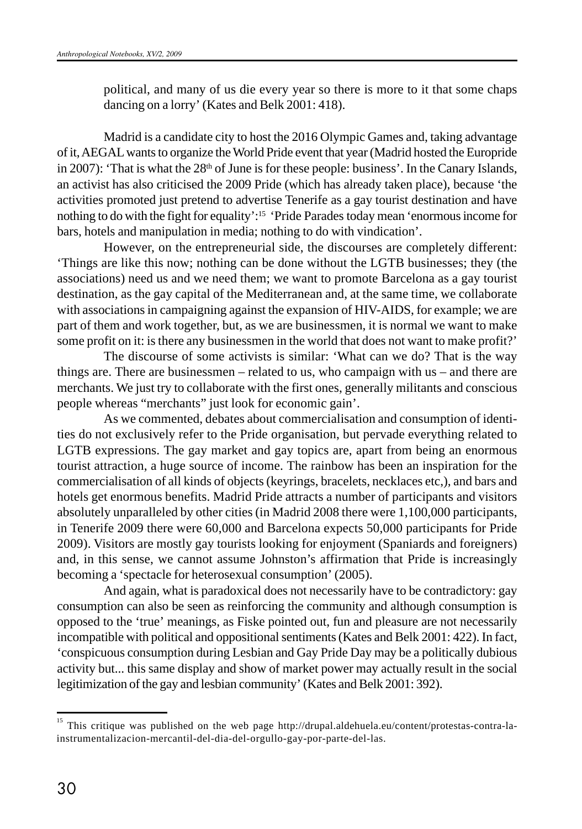political, and many of us die every year so there is more to it that some chaps dancing on a lorry' (Kates and Belk 2001: 418).

Madrid is a candidate city to host the 2016 Olympic Games and, taking advantage of it, AEGAL wants to organize the World Pride event that year (Madrid hosted the Europride in 2007): 'That is what the  $28<sup>th</sup>$  of June is for these people: business'. In the Canary Islands, an activist has also criticised the 2009 Pride (which has already taken place), because 'the activities promoted just pretend to advertise Tenerife as a gay tourist destination and have nothing to do with the fight for equality':15 'Pride Parades today mean 'enormous income for bars, hotels and manipulation in media; nothing to do with vindication'.

However, on the entrepreneurial side, the discourses are completely different: 'Things are like this now; nothing can be done without the LGTB businesses; they (the associations) need us and we need them; we want to promote Barcelona as a gay tourist destination, as the gay capital of the Mediterranean and, at the same time, we collaborate with associations in campaigning against the expansion of HIV-AIDS, for example; we are part of them and work together, but, as we are businessmen, it is normal we want to make some profit on it: is there any businessmen in the world that does not want to make profit?'

The discourse of some activists is similar: 'What can we do? That is the way things are. There are businessmen – related to us, who campaign with us – and there are merchants. We just try to collaborate with the first ones, generally militants and conscious people whereas "merchants" just look for economic gain'.

As we commented, debates about commercialisation and consumption of identities do not exclusively refer to the Pride organisation, but pervade everything related to LGTB expressions. The gay market and gay topics are, apart from being an enormous tourist attraction, a huge source of income. The rainbow has been an inspiration for the commercialisation of all kinds of objects (keyrings, bracelets, necklaces etc,), and bars and hotels get enormous benefits. Madrid Pride attracts a number of participants and visitors absolutely unparalleled by other cities (in Madrid 2008 there were 1,100,000 participants, in Tenerife 2009 there were 60,000 and Barcelona expects 50,000 participants for Pride 2009). Visitors are mostly gay tourists looking for enjoyment (Spaniards and foreigners) and, in this sense, we cannot assume Johnston's affirmation that Pride is increasingly becoming a 'spectacle for heterosexual consumption' (2005).

And again, what is paradoxical does not necessarily have to be contradictory: gay consumption can also be seen as reinforcing the community and although consumption is opposed to the 'true' meanings, as Fiske pointed out, fun and pleasure are not necessarily incompatible with political and oppositional sentiments (Kates and Belk 2001: 422). In fact, 'conspicuous consumption during Lesbian and Gay Pride Day may be a politically dubious activity but... this same display and show of market power may actually result in the social legitimization of the gay and lesbian community' (Kates and Belk 2001: 392).

<sup>15</sup> This critique was published on the web page http://drupal.aldehuela.eu/content/protestas-contra-lainstrumentalizacion-mercantil-del-dia-del-orgullo-gay-por-parte-del-las.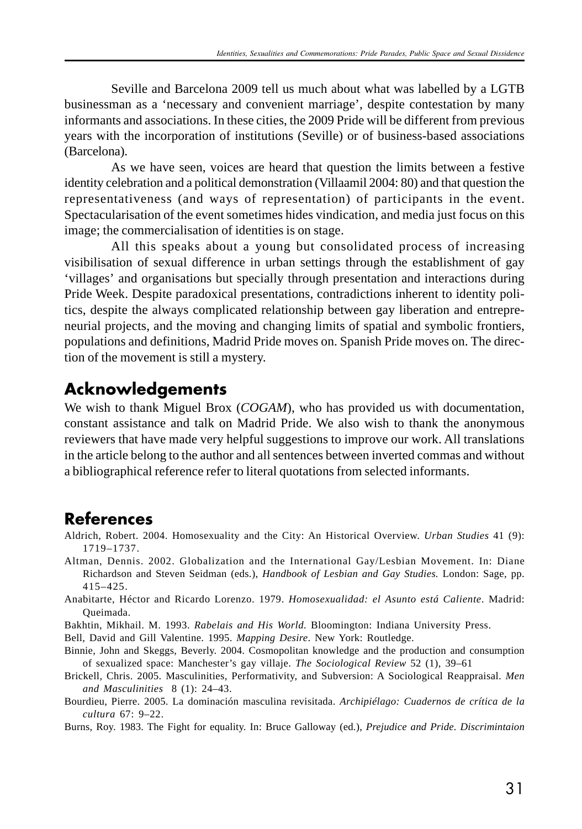Seville and Barcelona 2009 tell us much about what was labelled by a LGTB businessman as a 'necessary and convenient marriage', despite contestation by many informants and associations. In these cities, the 2009 Pride will be different from previous years with the incorporation of institutions (Seville) or of business-based associations (Barcelona).

As we have seen, voices are heard that question the limits between a festive identity celebration and a political demonstration (Villaamil 2004: 80) and that question the representativeness (and ways of representation) of participants in the event. Spectacularisation of the event sometimes hides vindication, and media just focus on this image; the commercialisation of identities is on stage.

All this speaks about a young but consolidated process of increasing visibilisation of sexual difference in urban settings through the establishment of gay 'villages' and organisations but specially through presentation and interactions during Pride Week. Despite paradoxical presentations, contradictions inherent to identity politics, despite the always complicated relationship between gay liberation and entrepreneurial projects, and the moving and changing limits of spatial and symbolic frontiers, populations and definitions, Madrid Pride moves on. Spanish Pride moves on. The direction of the movement is still a mystery.

#### **Acknowledgements**

We wish to thank Miguel Brox (*COGAM*), who has provided us with documentation, constant assistance and talk on Madrid Pride. We also wish to thank the anonymous reviewers that have made very helpful suggestions to improve our work. All translations in the article belong to the author and all sentences between inverted commas and without a bibliographical reference refer to literal quotations from selected informants.

## **References**

- Aldrich, Robert. 2004. Homosexuality and the City: An Historical Overview. *Urban Studies* 41 (9): 1719–1737.
- Altman, Dennis. 2002. Globalization and the International Gay/Lesbian Movement. In: Diane Richardson and Steven Seidman (eds.), *Handbook of Lesbian and Gay Studies.* London: Sage, pp. 415–425.
- Anabitarte, Héctor and Ricardo Lorenzo. 1979. *Homosexualidad: el Asunto está Caliente*. Madrid: Queimada.
- Bakhtin, Mikhail. M. 1993. *Rabelais and His World.* Bloomington: Indiana University Press.
- Bell, David and Gill Valentine. 1995. *Mapping Desire*. New York: Routledge.
- Binnie, John and Skeggs, Beverly. 2004. Cosmopolitan knowledge and the production and consumption of sexualized space: Manchester's gay villaje. *The Sociological Review* 52 (1), 39–61
- Brickell, Chris. 2005. Masculinities, Performativity, and Subversion: A Sociological Reappraisal. *Men and Masculinities* 8 (1): 24–43.
- Bourdieu, Pierre. 2005. La dominación masculina revisitada. *Archipiélago: Cuadernos de crítica de la cultura* 67: 9–22.
- Burns, Roy. 1983. The Fight for equality. In: Bruce Galloway (ed.), *Prejudice and Pride. Discrimintaion*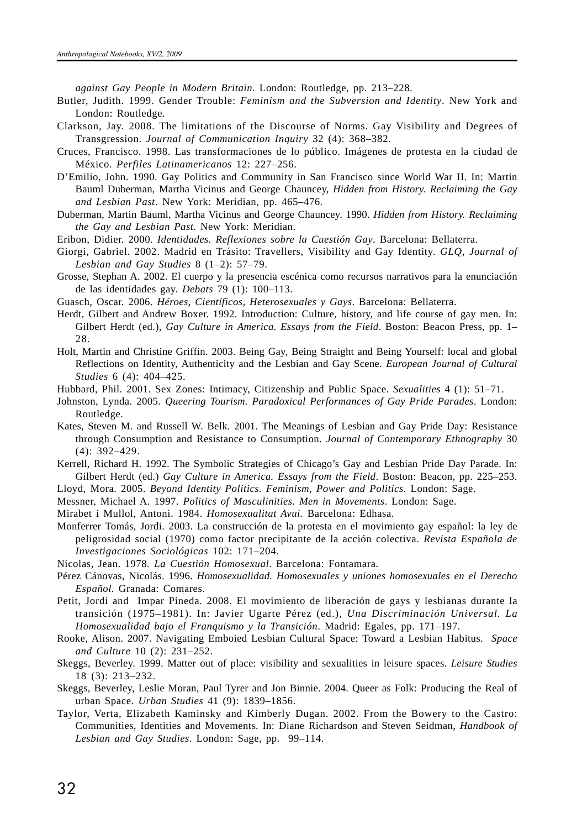*against Gay People in Modern Britain.* London: Routledge, pp. 213–228.

- Butler, Judith. 1999. Gender Trouble: *Feminism and the Subversion and Identity*. New York and London: Routledge.
- Clarkson, Jay. 2008. The limitations of the Discourse of Norms. Gay Visibility and Degrees of Transgression. *Journal of Communication Inquiry* 32 (4): 368–382.
- Cruces, Francisco. 1998. Las transformaciones de lo público. Imágenes de protesta en la ciudad de México. *Perfiles Latinamericanos* 12: 227–256.
- D'Emilio, John. 1990. Gay Politics and Community in San Francisco since World War II. In: Martin Bauml Duberman, Martha Vicinus and George Chauncey, *Hidden from History. Reclaiming the Gay and Lesbian Past*. New York: Meridian, pp. 465–476.
- Duberman, Martin Bauml, Martha Vicinus and George Chauncey. 1990. *Hidden from History. Reclaiming the Gay and Lesbian Past*. New York: Meridian.
- Eribon, Didier. 2000. *Identidades. Reflexiones sobre la Cuestión Gay*. Barcelona: Bellaterra.
- Giorgi, Gabriel. 2002. Madrid en Trásito: Travellers, Visibility and Gay Identity. *GLQ, Journal of Lesbian and Gay Studies* 8 (1–2): 57–79.
- Grosse, Stephan A. 2002. El cuerpo y la presencia escénica como recursos narrativos para la enunciación de las identidades gay. *Debats* 79 (1): 100–113.
- Guasch, Oscar. 2006. *Héroes, Científicos, Heterosexuales y Gays*. Barcelona: Bellaterra.
- Herdt, Gilbert and Andrew Boxer. 1992. Introduction: Culture, history, and life course of gay men. In: Gilbert Herdt (ed.), *Gay Culture in America. Essays from the Field*. Boston: Beacon Press, pp. 1– 28.
- Holt, Martin and Christine Griffin. 2003. Being Gay, Being Straight and Being Yourself: local and global Reflections on Identity, Authenticity and the Lesbian and Gay Scene. *European Journal of Cultural Studies* 6 (4): 404–425.
- Hubbard, Phil. 2001. Sex Zones: Intimacy, Citizenship and Public Space. *Sexualities* 4 (1): 51–71.
- Johnston, Lynda. 2005. *Queering Tourism. Paradoxical Performances of Gay Pride Parades*. London: Routledge.
- Kates, Steven M. and Russell W. Belk. 2001. The Meanings of Lesbian and Gay Pride Day: Resistance through Consumption and Resistance to Consumption. *Journal of Contemporary Ethnography* 30 (4): 392–429.
- Kerrell, Richard H. 1992. The Symbolic Strategies of Chicago's Gay and Lesbian Pride Day Parade. In: Gilbert Herdt (ed.) *Gay Culture in America. Essays from the Field*. Boston: Beacon, pp. 225–253.
- Lloyd, Mora. 2005. *Beyond Identity Politics. Feminism, Power and Politics*. London: Sage. Messner, Michael A. 1997. *Politics of Masculinities. Men in Movements*. London: Sage.
- Mirabet i Mullol, Antoni. 1984. *Homosexualitat Avui.* Barcelona: Edhasa.
- Monferrer Tomás, Jordi. 2003. La construcción de la protesta en el movimiento gay español: la ley de peligrosidad social (1970) como factor precipitante de la acción colectiva. *Revista Española de Investigaciones Sociológicas* 102: 171–204.
- Nicolas, Jean. 1978*. La Cuestión Homosexual*. Barcelona: Fontamara.
- Pérez Cánovas, Nicolás. 1996. *Homosexualidad. Homosexuales y uniones homosexuales en el Derecho Español.* Granada: Comares.
- Petit, Jordi and Impar Pineda. 2008. El movimiento de liberación de gays y lesbianas durante la transición (1975–1981). In: Javier Ugarte Pérez (ed.), *Una Discriminación Universal. La Homosexualidad bajo el Franquismo y la Transición*. Madrid: Egales, pp. 171–197.
- Rooke, Alison. 2007. Navigating Emboied Lesbian Cultural Space: Toward a Lesbian Habitus. *Space and Culture* 10 (2): 231–252.
- Skeggs, Beverley. 1999. Matter out of place: visibility and sexualities in leisure spaces. *Leisure Studies* 18 (3): 213–232.
- Skeggs, Beverley, Leslie Moran, Paul Tyrer and Jon Binnie. 2004. Queer as Folk: Producing the Real of urban Space. *Urban Studies* 41 (9): 1839–1856.
- Taylor, Verta, Elizabeth Kaminsky and Kimberly Dugan. 2002. From the Bowery to the Castro: Communities, Identities and Movements. In: Diane Richardson and Steven Seidman, *Handbook of Lesbian and Gay Studies*. London: Sage, pp. 99–114.